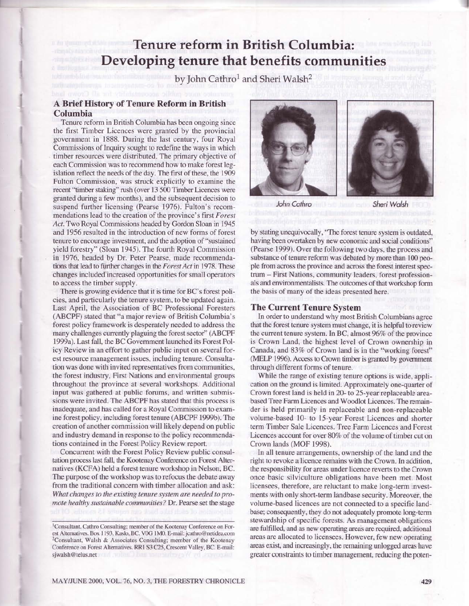# Tenure reform in British Columbia: Developing tenure that benefits communities

by John Cathro<sup>1</sup> and Sheri Walsh<sup>2</sup>

## A Brief History of Tenure Reform in British Columbia

Tenure reform in British Columbia has been ongoing since the first Timber Licences were granted by the provincial government in 1888. During the last century, four Royal Commissions of Inquiry sought to redefine the ways in which timber resources were distributed. The primary objective of each Commission was to recommend how to make forest legislation reflect the needs of the day. The first of these, the 1909 Fulton Commission, was struck explicitly to examine the recent "timber staking" rush (over 13 500 Timber Licences were granted during a few months), and the subsequent decision to suspend further licensing (Pearse 1976). Fulton's recommendations lead to the creation of the province's first Forest Act. Two Royal Commissions headed by Gordon Sloan in 1945 and 1956 resulted in the introduction of new forms of forest tenure to encourage investment, and the adoption of "sustained yield forestry" (Sloan 1945). The fourth Royal Commission in 1976, headed by Dr. Peter Pearse, made recommendations that lead to further changes in the Forest Act in 1978. These changes included increased opportunities for small operators to access the timber supply.

There is growing evidence that it is time for BC's forest policies, and particularly the tenure system, to be updated again. Last April, the Association of BC Professional Foresters (ABCPF) stated that "a major review of British Columbia's forest policy framework is desperately needed to address the many challenges currently plaguing the forest sector" (ABCPF 1999a). Last fall, the BC Government launched its Forest Policy Review in an effort to gather public input on several forest resource management issues, including tenure. Consultation was done with invited representatives from communities. the forest industry, First Nations and environmental groups throughout the province at several workshops. Additional input was gathered at public forums, and written submissions were invited. The ABCPF has stated that this process is inadequate, and has called for a Royal Commission to examine forest policy, including forest tenure (ABCPF 1999b). The creation of another commission will likely depend on public and industry demand in response to the policy recommendations contained in the Forest Policy Review report.

Concurrent with the Forest Policy Review public consultation process last fall, the Kootenay Conference on Forest Alternatives (KCFA) held a forest tenure workshop in Nelson, BC. The purpose of the workshop was to refocus the debate away from the traditional concern with timber allocation and ask: What changes to the existing tenure system are needed to promote healthy sustainable communities? Dr. Pearse set the stage



John Cathro

Sheri Walsh

by stating unequivocally, "The forest tenure system is outdated, having been overtaken by new economic and social conditions" (Pearse 1999). Over the following two days, the process and substance of tenure reform was debated by more than 100 people from across the province and across the forest interest spectrum - First Nations, community leaders, forest professionals and environmentalists. The outcomes of that workshop form the basis of many of the ideas presented here.

### **The Current Tenure System**

In order to understand why most British Columbians agree that the forest tenure system must change, it is helpful to review the current tenure system. In BC, almost 96% of the province is Crown Land, the highest level of Crown ownership in Canada, and 83% of Crown land is in the "working forest" (MELP 1996). Access to Crown timber is granted by government through different forms of tenure.

While the range of existing tenure options is wide, application on the ground is limited. Approximately one-quarter of Crown forest land is held in 20- to 25-year replaceable areabased Tree Farm Licences and Woodlot Licences. The remainder is held primarily in replaceable and non-replaceable volume-based 10- to 15-year Forest Licences and shorter term Timber Sale Licences. Tree Farm Licences and Forest Licences account for over 80% of the volume of timber cut on Crown lands (MOF 1998).

In all tenure arrangements, ownership of the land and the right to revoke a licence remains with the Crown. In addition, the responsibility for areas under licence reverts to the Crown once basic silviculture obligations have been met. Most licensees, therefore, are reluctant to make long-term investments with only short-term landbase security. Moreover, the volume-based licences are not connected to a specific landbase; consequently, they do not adequately promote long-term stewardship of specific forests. As management obligations are fulfilled, and as new operating areas are required, additional areas are allocated to licensees. However, few new operating areas exist, and increasingly, the remaining unlogged areas have greater constraints to timber management, reducing the poten-

<sup>&</sup>lt;sup>1</sup>Consultant, Cathro Consulting; member of the Kootenay Conference on Forest Alternatives. Box 1193, Kaslo, BC. VOG 1M0. E-mail: jcathro@netidea.com <sup>2</sup>Consultant, Walsh & Associates Consulting; member of the Kootenay Conference on Forest Alternatives. RR1 S3 C25, Crescent Valley, BC. E-mail: sjwalsh@telus.net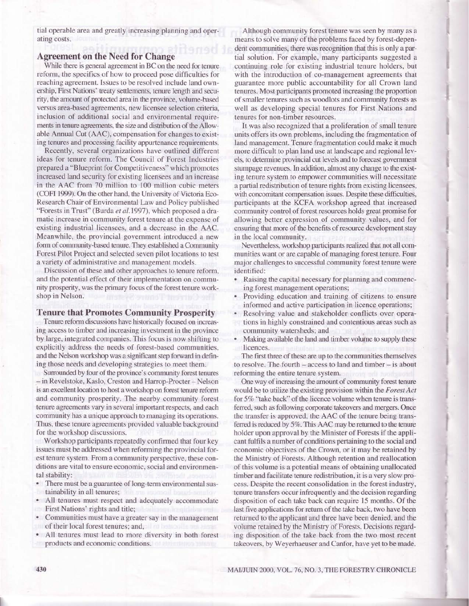tial operable area and greatly increasing planning and operating costs.

# **Agreement on the Need for Change**

While there is general agreement in BC on the need for tenure reform, the specifics of how to proceed pose difficulties for reaching agreement. Issues to be resolved include land ownership, First Nations' treaty settlements, tenure length and security, the amount of protected area in the province, volume-based versus area-based agreements, new licensee selection criteria, inclusion of additional social and environmental requirements in tenure agreements, the size and distribution of the Allowable Annual Cut (AAC), compensation for changes to existing tenures and processing facility appurtenance requirements.

Recently, several organizations have outlined different ideas for tenure reform. The Council of Forest Industries prepared a "Blueprint for Competitiveness" which promotes increased land security for existing licensees and an increase in the AAC from 70 million to 100 million cubic meters (COFI 1999). On the other hand, the University of Victoria Eco-Research Chair of Environmental Law and Policy published "Forests in Trust" (Burda et al.1997), which proposed a dramatic increase in community forest tenure at the expense of existing industrial licensees, and a decrease in the AAC. Meanwhile, the provincial government introduced a new form of community-based tenure. They established a Community Forest Pilot Project and selected seven pilot locations to test a variety of administrative and management models.

Discussion of these and other approaches to tenure reform, and the potential effect of their implementation on community prosperity, was the primary focus of the forest tenure workshop in Nelson.

### **Tenure that Promotes Community Prosperity**

Tenure reform discussions have historically focused on increasing access to timber and increasing investment in the province by large, integrated companies. This focus is now shifting to explicitly address the needs of forest-based communities, and the Nelson workshop was a significant step forward in defining those needs and developing strategies to meet them.

Surrounded by four of the province's community forest tenures - in Revelstoke, Kaslo, Creston and Harrop-Procter - Nelson is an excellent location to host a workshop on forest tenure reform and community prosperity. The nearby community forest tenure agreements vary in several important respects, and each community has a unique approach to managing its operations. Thus, these tenure agreements provided valuable background for the workshop discussions.

Workshop participants repeatedly confirmed that four key issues must be addressed when reforming the provincial forest tenure system. From a community perspective, these conditions are vital to ensure economic, social and environmental stability:

- There must be a guarantee of long-term environmental sustainability in all tenures;
- All tenures must respect and adequately accommodate First Nations' rights and title;
- Communities must have a greater say in the management of their local forest tenures; and,
- All tenures must lead to more diversity in both forest products and economic conditions.

Although community forest tenure was seen by many as a means to solve many of the problems faced by forest-dependent communities, there was recognition that this is only a partial solution. For example, many participants suggested a continuing role for existing industrial tenure holders, but with the introduction of co-management agreements that guarantee more public accountability for all Crown land tenures. Most participants promoted increasing the proportion of smaller tenures such as woodlots and community forests as well as developing special tenures for First Nations and tenures for non-timber resources.

It was also recognized that a proliferation of small tenure units offers its own problems, including the fragmentation of land management. Tenure fragmentation could make it much more difficult to plan land use at landscape and regional levels, to determine provincial cut levels and to forecast government stumpage revenues. In addition, almost any change to the existing tenure system to empower communities will necessitate a partial redistribution of tenure rights from existing licensees, with concomitant compensation issues. Despite these difficulties, participants at the KCFA workshop agreed that increased community control of forest resources holds great promise for allowing better expression of community values, and for ensuring that more of the benefits of resource development stay in the local community.

Nevertheless, workshop participants realized that not all communities want or are capable of managing forest tenure. Four major challenges to successful community forest tenure were identified:

- Raising the capital necessary for planning and commencing forest management operations;
- Providing education and training of citizens to ensure informed and active participation in licence operations;
- Resolving value and stakeholder conflicts over operations in highly constrained and contentious areas such as community watersheds; and
- Making available the land and timber volume to supply these licences.

The first three of these are up to the communities themselves to resolve. The fourth  $-$  access to land and timber  $-$  is about reforming the entire tenure system.

One way of increasing the amount of community forest tenure would be to utilize the existing provision within the Forest Act for 5% "take back" of the licence volume when tenure is transferred, such as following corporate takeovers and mergers. Once the transfer is approved, the AAC of the tenure being transferred is reduced by 5%. This AAC may be returned to the tenure holder upon approval by the Minister of Forests if the applicant fulfils a number of conditions pertaining to the social and economic objectives of the Crown, or it may be retained by the Ministry of Forests. Although retention and reallocation of this volume is a potential means of obtaining unallocated timber and facilitate tenure redistribution, it is a very slow process. Despite the recent consolidation in the forest industry, tenure transfers occur infrequently and the decision regarding disposition of each take back can require 15 months. Of the last five applications for return of the take back, two have been returned to the applicant and three have been denied, and the volume retained by the Ministry of Forests. Decisions regarding disposition of the take back from the two most recent takeovers, by Weyerhaeuser and Canfor, have yet to be made.